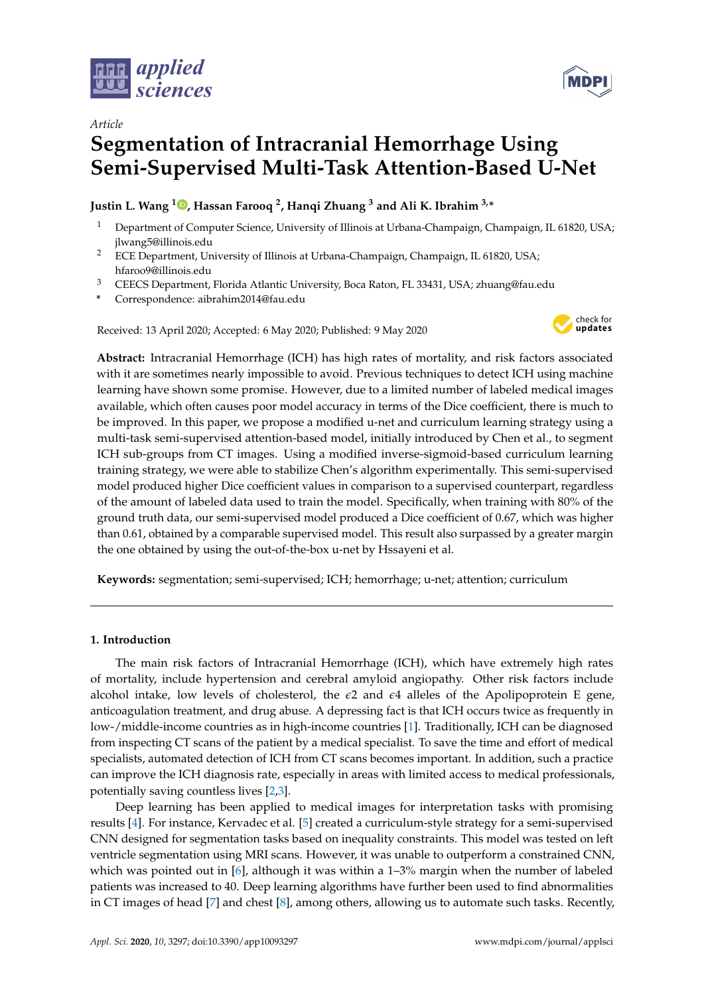



# *Article* **Segmentation of Intracranial Hemorrhage Using Semi-Supervised Multi-Task Attention-Based U-Net**

## **Justin L. Wang <sup>1</sup> [,](https://orcid.org/0000-0002-9218-0744) Hassan Farooq <sup>2</sup> , Hanqi Zhuang <sup>3</sup> and Ali K. Ibrahim 3,\***

- <sup>1</sup> Department of Computer Science, University of Illinois at Urbana-Champaign, Champaign, IL 61820, USA; jlwang5@illinois.edu
- <sup>2</sup> ECE Department, University of Illinois at Urbana-Champaign, Champaign, IL 61820, USA; hfaroo9@illinois.edu
- <sup>3</sup> CEECS Department, Florida Atlantic University, Boca Raton, FL 33431, USA; zhuang@fau.edu
- **\*** Correspondence: aibrahim2014@fau.edu

Received: 13 April 2020; Accepted: 6 May 2020; Published: 9 May 2020



**Abstract:** Intracranial Hemorrhage (ICH) has high rates of mortality, and risk factors associated with it are sometimes nearly impossible to avoid. Previous techniques to detect ICH using machine learning have shown some promise. However, due to a limited number of labeled medical images available, which often causes poor model accuracy in terms of the Dice coefficient, there is much to be improved. In this paper, we propose a modified u-net and curriculum learning strategy using a multi-task semi-supervised attention-based model, initially introduced by Chen et al., to segment ICH sub-groups from CT images. Using a modified inverse-sigmoid-based curriculum learning training strategy, we were able to stabilize Chen's algorithm experimentally. This semi-supervised model produced higher Dice coefficient values in comparison to a supervised counterpart, regardless of the amount of labeled data used to train the model. Specifically, when training with 80% of the ground truth data, our semi-supervised model produced a Dice coefficient of 0.67, which was higher than 0.61, obtained by a comparable supervised model. This result also surpassed by a greater margin the one obtained by using the out-of-the-box u-net by Hssayeni et al.

**Keywords:** segmentation; semi-supervised; ICH; hemorrhage; u-net; attention; curriculum

## **1. Introduction**

The main risk factors of Intracranial Hemorrhage (ICH), which have extremely high rates of mortality, include hypertension and cerebral amyloid angiopathy. Other risk factors include alcohol intake, low levels of cholesterol, the  $\epsilon^2$  and  $\epsilon^4$  alleles of the Apolipoprotein E gene, anticoagulation treatment, and drug abuse. A depressing fact is that ICH occurs twice as frequently in low-/middle-income countries as in high-income countries [\[1\]](#page-9-0). Traditionally, ICH can be diagnosed from inspecting CT scans of the patient by a medical specialist. To save the time and effort of medical specialists, automated detection of ICH from CT scans becomes important. In addition, such a practice can improve the ICH diagnosis rate, especially in areas with limited access to medical professionals, potentially saving countless lives [\[2,](#page-9-1)[3\]](#page-9-2).

Deep learning has been applied to medical images for interpretation tasks with promising results [\[4\]](#page-9-3). For instance, Kervadec et al. [\[5\]](#page-9-4) created a curriculum-style strategy for a semi-supervised CNN designed for segmentation tasks based on inequality constraints. This model was tested on left ventricle segmentation using MRI scans. However, it was unable to outperform a constrained CNN, which was pointed out in [\[6\]](#page-9-5), although it was within a 1–3% margin when the number of labeled patients was increased to 40. Deep learning algorithms have further been used to find abnormalities in CT images of head [\[7\]](#page-9-6) and chest [\[8\]](#page-9-7), among others, allowing us to automate such tasks. Recently,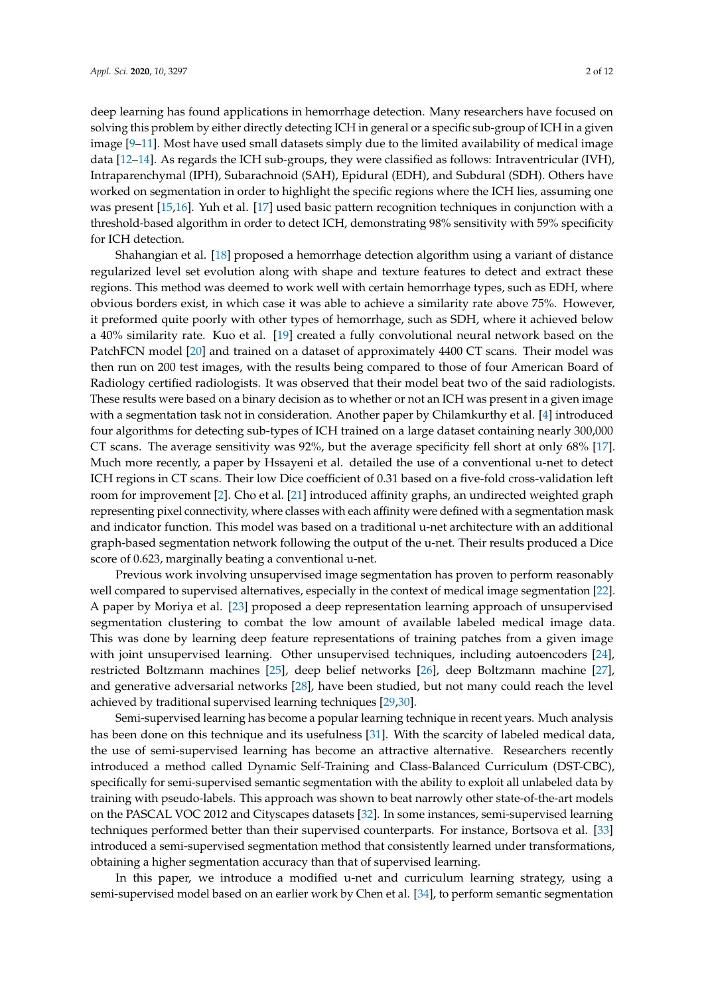deep learning has found applications in hemorrhage detection. Many researchers have focused on solving this problem by either directly detecting ICH in general or a specific sub-group of ICH in a given image [\[9–](#page-9-8)[11\]](#page-10-0). Most have used small datasets simply due to the limited availability of medical image data [\[12–](#page-10-1)[14\]](#page-10-2). As regards the ICH sub-groups, they were classified as follows: Intraventricular (IVH), Intraparenchymal (IPH), Subarachnoid (SAH), Epidural (EDH), and Subdural (SDH). Others have worked on segmentation in order to highlight the specific regions where the ICH lies, assuming one was present [\[15,](#page-10-3)[16\]](#page-10-4). Yuh et al. [\[17\]](#page-10-5) used basic pattern recognition techniques in conjunction with a threshold-based algorithm in order to detect ICH, demonstrating 98% sensitivity with 59% specificity for ICH detection.

Shahangian et al. [\[18\]](#page-10-6) proposed a hemorrhage detection algorithm using a variant of distance regularized level set evolution along with shape and texture features to detect and extract these regions. This method was deemed to work well with certain hemorrhage types, such as EDH, where obvious borders exist, in which case it was able to achieve a similarity rate above 75%. However, it preformed quite poorly with other types of hemorrhage, such as SDH, where it achieved below a 40% similarity rate. Kuo et al. [\[19\]](#page-10-7) created a fully convolutional neural network based on the PatchFCN model [\[20\]](#page-10-8) and trained on a dataset of approximately 4400 CT scans. Their model was then run on 200 test images, with the results being compared to those of four American Board of Radiology certified radiologists. It was observed that their model beat two of the said radiologists. These results were based on a binary decision as to whether or not an ICH was present in a given image with a segmentation task not in consideration. Another paper by Chilamkurthy et al. [\[4\]](#page-9-3) introduced four algorithms for detecting sub-types of ICH trained on a large dataset containing nearly 300,000 CT scans. The average sensitivity was 92%, but the average specificity fell short at only 68% [\[17\]](#page-10-5). Much more recently, a paper by Hssayeni et al. detailed the use of a conventional u-net to detect ICH regions in CT scans. Their low Dice coefficient of 0.31 based on a five-fold cross-validation left room for improvement [\[2\]](#page-9-1). Cho et al. [\[21\]](#page-10-9) introduced affinity graphs, an undirected weighted graph representing pixel connectivity, where classes with each affinity were defined with a segmentation mask and indicator function. This model was based on a traditional u-net architecture with an additional graph-based segmentation network following the output of the u-net. Their results produced a Dice score of 0.623, marginally beating a conventional u-net.

Previous work involving unsupervised image segmentation has proven to perform reasonably well compared to supervised alternatives, especially in the context of medical image segmentation [\[22\]](#page-10-10). A paper by Moriya et al. [\[23\]](#page-10-11) proposed a deep representation learning approach of unsupervised segmentation clustering to combat the low amount of available labeled medical image data. This was done by learning deep feature representations of training patches from a given image with joint unsupervised learning. Other unsupervised techniques, including autoencoders [\[24\]](#page-10-12), restricted Boltzmann machines [\[25\]](#page-10-13), deep belief networks [\[26\]](#page-10-14), deep Boltzmann machine [\[27\]](#page-10-15), and generative adversarial networks [\[28\]](#page-10-16), have been studied, but not many could reach the level achieved by traditional supervised learning techniques [\[29](#page-10-17)[,30\]](#page-10-18).

Semi-supervised learning has become a popular learning technique in recent years. Much analysis has been done on this technique and its usefulness [\[31\]](#page-11-0). With the scarcity of labeled medical data, the use of semi-supervised learning has become an attractive alternative. Researchers recently introduced a method called Dynamic Self-Training and Class-Balanced Curriculum (DST-CBC), specifically for semi-supervised semantic segmentation with the ability to exploit all unlabeled data by training with pseudo-labels. This approach was shown to beat narrowly other state-of-the-art models on the PASCAL VOC 2012 and Cityscapes datasets [\[32\]](#page-11-1). In some instances, semi-supervised learning techniques performed better than their supervised counterparts. For instance, Bortsova et al. [\[33\]](#page-11-2) introduced a semi-supervised segmentation method that consistently learned under transformations, obtaining a higher segmentation accuracy than that of supervised learning.

In this paper, we introduce a modified u-net and curriculum learning strategy, using a semi-supervised model based on an earlier work by Chen et al. [\[34\]](#page-11-3), to perform semantic segmentation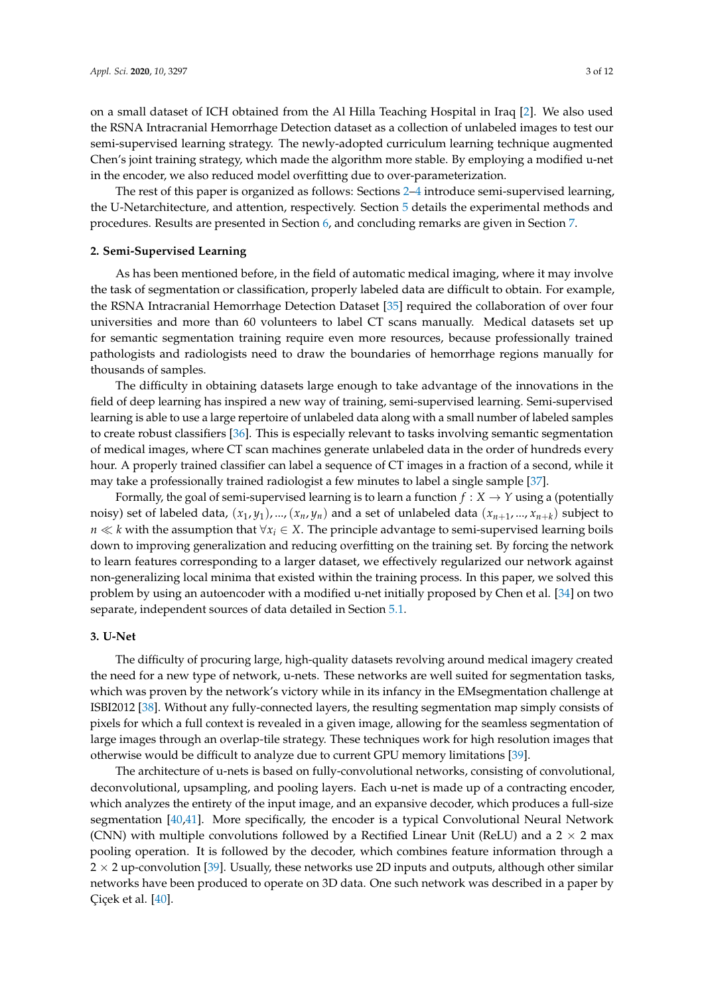on a small dataset of ICH obtained from the Al Hilla Teaching Hospital in Iraq [\[2\]](#page-9-1). We also used the RSNA Intracranial Hemorrhage Detection dataset as a collection of unlabeled images to test our semi-supervised learning strategy. The newly-adopted curriculum learning technique augmented Chen's joint training strategy, which made the algorithm more stable. By employing a modified u-net in the encoder, we also reduced model overfitting due to over-parameterization.

The rest of this paper is organized as follows: Sections [2](#page-2-0)[–4](#page-3-0) introduce semi-supervised learning, the U-Netarchitecture, and attention, respectively. Section [5](#page-3-1) details the experimental methods and procedures. Results are presented in Section [6,](#page-6-0) and concluding remarks are given in Section [7.](#page-8-0)

## <span id="page-2-0"></span>**2. Semi-Supervised Learning**

As has been mentioned before, in the field of automatic medical imaging, where it may involve the task of segmentation or classification, properly labeled data are difficult to obtain. For example, the RSNA Intracranial Hemorrhage Detection Dataset [\[35\]](#page-11-4) required the collaboration of over four universities and more than 60 volunteers to label CT scans manually. Medical datasets set up for semantic segmentation training require even more resources, because professionally trained pathologists and radiologists need to draw the boundaries of hemorrhage regions manually for thousands of samples.

The difficulty in obtaining datasets large enough to take advantage of the innovations in the field of deep learning has inspired a new way of training, semi-supervised learning. Semi-supervised learning is able to use a large repertoire of unlabeled data along with a small number of labeled samples to create robust classifiers [\[36\]](#page-11-5). This is especially relevant to tasks involving semantic segmentation of medical images, where CT scan machines generate unlabeled data in the order of hundreds every hour. A properly trained classifier can label a sequence of CT images in a fraction of a second, while it may take a professionally trained radiologist a few minutes to label a single sample [\[37\]](#page-11-6).

Formally, the goal of semi-supervised learning is to learn a function  $f: X \rightarrow Y$  using a (potentially noisy) set of labeled data,  $(x_1, y_1)$ , ...,  $(x_n, y_n)$  and a set of unlabeled data  $(x_{n+1}, ..., x_{n+k})$  subject to *n*  $\ll$  *k* with the assumption that ∀*x*<sup>*i*</sup> ∈ *X*. The principle advantage to semi-supervised learning boils down to improving generalization and reducing overfitting on the training set. By forcing the network to learn features corresponding to a larger dataset, we effectively regularized our network against non-generalizing local minima that existed within the training process. In this paper, we solved this problem by using an autoencoder with a modified u-net initially proposed by Chen et al. [\[34\]](#page-11-3) on two separate, independent sources of data detailed in Section [5.1.](#page-3-2)

#### **3. U-Net**

The difficulty of procuring large, high-quality datasets revolving around medical imagery created the need for a new type of network, u-nets. These networks are well suited for segmentation tasks, which was proven by the network's victory while in its infancy in the EMsegmentation challenge at ISBI2012 [\[38\]](#page-11-7). Without any fully-connected layers, the resulting segmentation map simply consists of pixels for which a full context is revealed in a given image, allowing for the seamless segmentation of large images through an overlap-tile strategy. These techniques work for high resolution images that otherwise would be difficult to analyze due to current GPU memory limitations [\[39\]](#page-11-8).

The architecture of u-nets is based on fully-convolutional networks, consisting of convolutional, deconvolutional, upsampling, and pooling layers. Each u-net is made up of a contracting encoder, which analyzes the entirety of the input image, and an expansive decoder, which produces a full-size segmentation [\[40](#page-11-9)[,41\]](#page-11-10). More specifically, the encoder is a typical Convolutional Neural Network (CNN) with multiple convolutions followed by a Rectified Linear Unit (ReLU) and a  $2 \times 2$  max pooling operation. It is followed by the decoder, which combines feature information through a  $2 \times 2$  up-convolution [\[39\]](#page-11-8). Usually, these networks use 2D inputs and outputs, although other similar networks have been produced to operate on 3D data. One such network was described in a paper by Çiçek et al. [\[40\]](#page-11-9).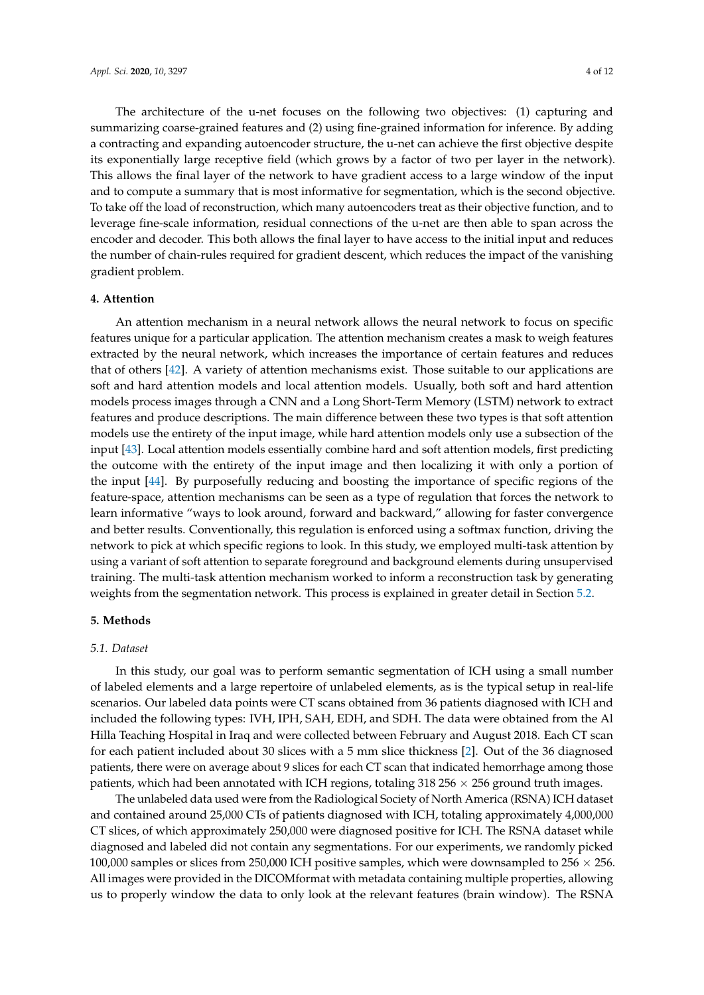The architecture of the u-net focuses on the following two objectives: (1) capturing and summarizing coarse-grained features and (2) using fine-grained information for inference. By adding a contracting and expanding autoencoder structure, the u-net can achieve the first objective despite its exponentially large receptive field (which grows by a factor of two per layer in the network). This allows the final layer of the network to have gradient access to a large window of the input and to compute a summary that is most informative for segmentation, which is the second objective. To take off the load of reconstruction, which many autoencoders treat as their objective function, and to leverage fine-scale information, residual connections of the u-net are then able to span across the encoder and decoder. This both allows the final layer to have access to the initial input and reduces the number of chain-rules required for gradient descent, which reduces the impact of the vanishing gradient problem.

## <span id="page-3-0"></span>**4. Attention**

An attention mechanism in a neural network allows the neural network to focus on specific features unique for a particular application. The attention mechanism creates a mask to weigh features extracted by the neural network, which increases the importance of certain features and reduces that of others [\[42\]](#page-11-11). A variety of attention mechanisms exist. Those suitable to our applications are soft and hard attention models and local attention models. Usually, both soft and hard attention models process images through a CNN and a Long Short-Term Memory (LSTM) network to extract features and produce descriptions. The main difference between these two types is that soft attention models use the entirety of the input image, while hard attention models only use a subsection of the input [\[43\]](#page-11-12). Local attention models essentially combine hard and soft attention models, first predicting the outcome with the entirety of the input image and then localizing it with only a portion of the input [\[44\]](#page-11-13). By purposefully reducing and boosting the importance of specific regions of the feature-space, attention mechanisms can be seen as a type of regulation that forces the network to learn informative "ways to look around, forward and backward," allowing for faster convergence and better results. Conventionally, this regulation is enforced using a softmax function, driving the network to pick at which specific regions to look. In this study, we employed multi-task attention by using a variant of soft attention to separate foreground and background elements during unsupervised training. The multi-task attention mechanism worked to inform a reconstruction task by generating weights from the segmentation network. This process is explained in greater detail in Section [5.2.](#page-4-0)

#### <span id="page-3-1"></span>**5. Methods**

#### <span id="page-3-2"></span>*5.1. Dataset*

In this study, our goal was to perform semantic segmentation of ICH using a small number of labeled elements and a large repertoire of unlabeled elements, as is the typical setup in real-life scenarios. Our labeled data points were CT scans obtained from 36 patients diagnosed with ICH and included the following types: IVH, IPH, SAH, EDH, and SDH. The data were obtained from the Al Hilla Teaching Hospital in Iraq and were collected between February and August 2018. Each CT scan for each patient included about 30 slices with a 5 mm slice thickness [\[2\]](#page-9-1). Out of the 36 diagnosed patients, there were on average about 9 slices for each CT scan that indicated hemorrhage among those patients, which had been annotated with ICH regions, totaling  $318\,256 \times 256$  ground truth images.

The unlabeled data used were from the Radiological Society of North America (RSNA) ICH dataset and contained around 25,000 CTs of patients diagnosed with ICH, totaling approximately 4,000,000 CT slices, of which approximately 250,000 were diagnosed positive for ICH. The RSNA dataset while diagnosed and labeled did not contain any segmentations. For our experiments, we randomly picked 100,000 samples or slices from 250,000 ICH positive samples, which were downsampled to 256  $\times$  256. All images were provided in the DICOMformat with metadata containing multiple properties, allowing us to properly window the data to only look at the relevant features (brain window). The RSNA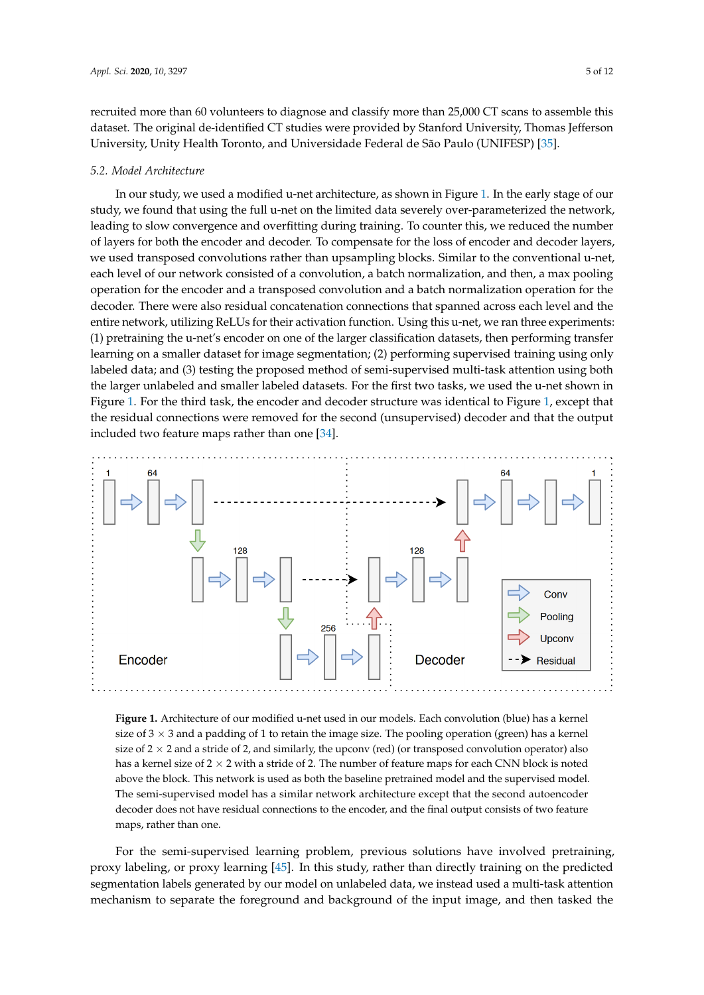recruited more than 60 volunteers to diagnose and classify more than 25,000 CT scans to assemble this dataset. The original de-identified CT studies were provided by Stanford University, Thomas Jefferson University, Unity Health Toronto, and Universidade Federal de São Paulo (UNIFESP) [\[35\]](#page-11-4).

#### <span id="page-4-0"></span>*5.2. Model Architecture*

In our study, we used a modified u-net architecture, as shown in Figure [1.](#page-4-1) In the early stage of our study, we found that using the full u-net on the limited data severely over-parameterized the network, leading to slow convergence and overfitting during training. To counter this, we reduced the number of layers for both the encoder and decoder. To compensate for the loss of encoder and decoder layers, we used transposed convolutions rather than upsampling blocks. Similar to the conventional u-net, each level of our network consisted of a convolution, a batch normalization, and then, a max pooling operation for the encoder and a transposed convolution and a batch normalization operation for the decoder. There were also residual concatenation connections that spanned across each level and the entire network, utilizing ReLUs for their activation function. Using this u-net, we ran three experiments: (1) pretraining the u-net's encoder on one of the larger classification datasets, then performing transfer learning on a smaller dataset for image segmentation; (2) performing supervised training using only labeled data; and (3) testing the proposed method of semi-supervised multi-task attention using both the larger unlabeled and smaller labeled datasets. For the first two tasks, we used the u-net shown in Figure [1.](#page-4-1) For the third task, the encoder and decoder structure was identical to Figure [1,](#page-4-1) except that the residual connections were removed for the second (unsupervised) decoder and that the output included two feature maps rather than one [\[34\]](#page-11-3).

<span id="page-4-1"></span>

**Figure 1.** Architecture of our modified u-net used in our models. Each convolution (blue) has a kernel size of  $3 \times 3$  and a padding of 1 to retain the image size. The pooling operation (green) has a kernel size of  $2 \times 2$  and a stride of 2, and similarly, the upconv (red) (or transposed convolution operator) also has a kernel size of  $2 \times 2$  with a stride of 2. The number of feature maps for each CNN block is noted above the block. This network is used as both the baseline pretrained model and the supervised model. The semi-supervised model has a similar network architecture except that the second autoencoder decoder does not have residual connections to the encoder, and the final output consists of two feature maps, rather than one.

For the semi-supervised learning problem, previous solutions have involved pretraining, proxy labeling, or proxy learning [\[45\]](#page-11-14). In this study, rather than directly training on the predicted segmentation labels generated by our model on unlabeled data, we instead used a multi-task attention mechanism to separate the foreground and background of the input image, and then tasked the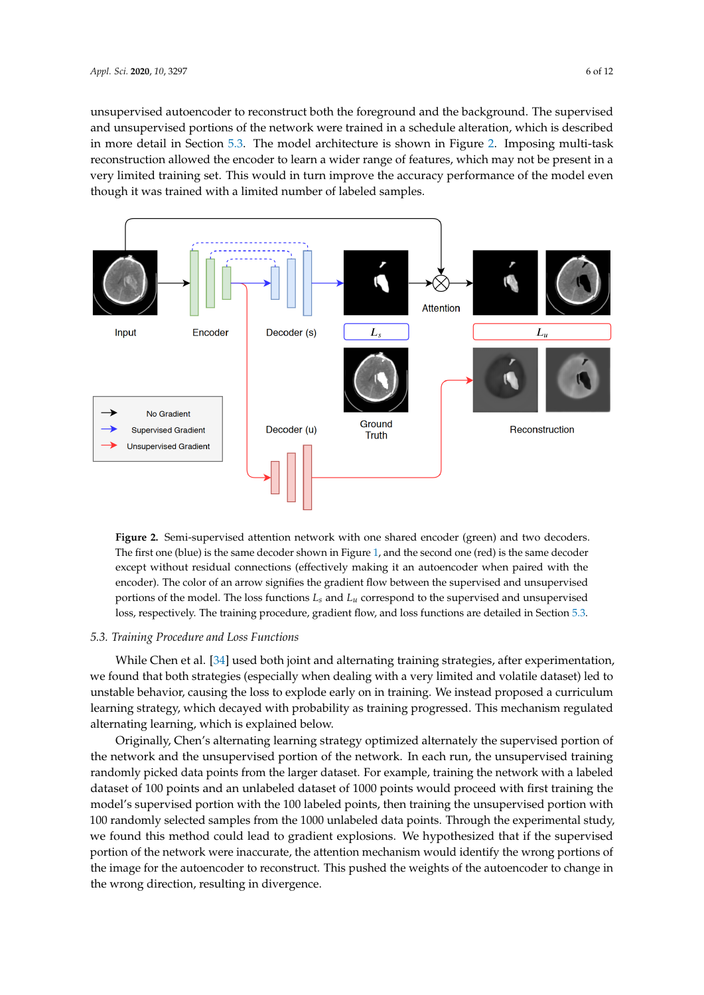unsupervised autoencoder to reconstruct both the foreground and the background. The supervised and unsupervised portions of the network were trained in a schedule alteration, which is described in more detail in Section [5.3.](#page-5-0) The model architecture is shown in Figure [2.](#page-5-1) Imposing multi-task reconstruction allowed the encoder to learn a wider range of features, which may not be present in a very limited training set. This would in turn improve the accuracy performance of the model even though it was trained with a limited number of labeled samples.

<span id="page-5-1"></span>

**Figure 2.** Semi-supervised attention network with one shared encoder (green) and two decoders. The first one (blue) is the same decoder shown in Figure [1,](#page-4-1) and the second one (red) is the same decoder except without residual connections (effectively making it an autoencoder when paired with the encoder). The color of an arrow signifies the gradient flow between the supervised and unsupervised portions of the model. The loss functions *Ls* and *Lu* correspond to the supervised and unsupervised loss, respectively. The training procedure, gradient flow, and loss functions are detailed in Section [5.3.](#page-5-0)

#### <span id="page-5-0"></span>*5.3. Training Procedure and Loss Functions*

While Chen et al. [\[34\]](#page-11-3) used both joint and alternating training strategies, after experimentation, we found that both strategies (especially when dealing with a very limited and volatile dataset) led to unstable behavior, causing the loss to explode early on in training. We instead proposed a curriculum learning strategy, which decayed with probability as training progressed. This mechanism regulated alternating learning, which is explained below.

Originally, Chen's alternating learning strategy optimized alternately the supervised portion of the network and the unsupervised portion of the network. In each run, the unsupervised training randomly picked data points from the larger dataset. For example, training the network with a labeled dataset of 100 points and an unlabeled dataset of 1000 points would proceed with first training the model's supervised portion with the 100 labeled points, then training the unsupervised portion with 100 randomly selected samples from the 1000 unlabeled data points. Through the experimental study, we found this method could lead to gradient explosions. We hypothesized that if the supervised portion of the network were inaccurate, the attention mechanism would identify the wrong portions of the image for the autoencoder to reconstruct. This pushed the weights of the autoencoder to change in the wrong direction, resulting in divergence.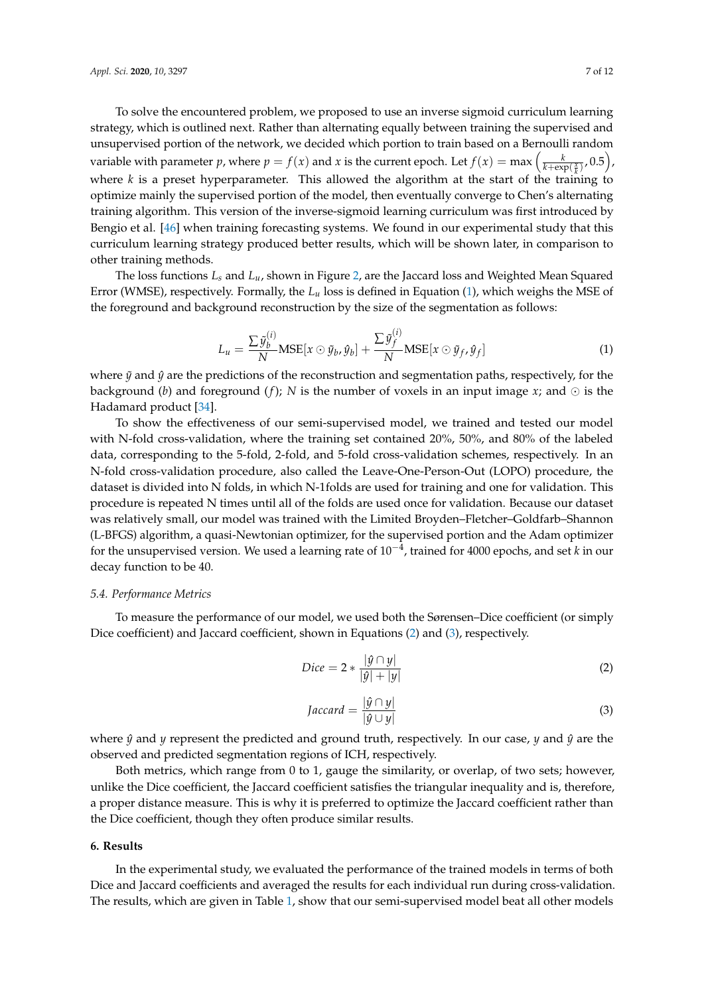To solve the encountered problem, we proposed to use an inverse sigmoid curriculum learning strategy, which is outlined next. Rather than alternating equally between training the supervised and unsupervised portion of the network, we decided which portion to train based on a Bernoulli random variable with parameter *p*, where  $p = f(x)$  and *x* is the current epoch. Let  $f(x) = \max\left(\frac{k}{k+\exp(\frac{x}{k})}, 0.5\right)$ , where *k* is a preset hyperparameter. This allowed the algorithm at the start of the training to optimize mainly the supervised portion of the model, then eventually converge to Chen's alternating training algorithm. This version of the inverse-sigmoid learning curriculum was first introduced by Bengio et al. [\[46\]](#page-11-15) when training forecasting systems. We found in our experimental study that this curriculum learning strategy produced better results, which will be shown later, in comparison to other training methods.

The loss functions *L<sup>s</sup>* and *Lu*, shown in Figure [2,](#page-5-1) are the Jaccard loss and Weighted Mean Squared Error (WMSE), respectively. Formally, the *L<sup>u</sup>* loss is defined in Equation [\(1\)](#page-6-1), which weighs the MSE of the foreground and background reconstruction by the size of the segmentation as follows:

<span id="page-6-1"></span>
$$
L_u = \frac{\sum \tilde{y}_b^{(i)}}{N} \text{MSE}[x \odot \tilde{y}_b, \hat{y}_b] + \frac{\sum \tilde{y}_f^{(i)}}{N} \text{MSE}[x \odot \tilde{y}_f, \hat{y}_f]
$$
(1)

where  $\tilde{y}$  and  $\hat{y}$  are the predictions of the reconstruction and segmentation paths, respectively, for the background (*b*) and foreground (*f*); *N* is the number of voxels in an input image *x*; and  $\odot$  is the Hadamard product [\[34\]](#page-11-3).

To show the effectiveness of our semi-supervised model, we trained and tested our model with N-fold cross-validation, where the training set contained 20%, 50%, and 80% of the labeled data, corresponding to the 5-fold, 2-fold, and 5-fold cross-validation schemes, respectively. In an N-fold cross-validation procedure, also called the Leave-One-Person-Out (LOPO) procedure, the dataset is divided into N folds, in which N-1folds are used for training and one for validation. This procedure is repeated N times until all of the folds are used once for validation. Because our dataset was relatively small, our model was trained with the Limited Broyden–Fletcher–Goldfarb–Shannon (L-BFGS) algorithm, a quasi-Newtonian optimizer, for the supervised portion and the Adam optimizer for the unsupervised version. We used a learning rate of 10−<sup>4</sup> , trained for 4000 epochs, and set *k* in our decay function to be 40.

#### *5.4. Performance Metrics*

To measure the performance of our model, we used both the Sørensen–Dice coefficient (or simply Dice coefficient) and Jaccard coefficient, shown in Equations [\(2\)](#page-6-2) and [\(3\)](#page-6-3), respectively.

<span id="page-6-2"></span>
$$
Dice = 2 * \frac{|\hat{y} \cap y|}{|\hat{y}| + |y|}
$$
 (2)

<span id="page-6-3"></span>
$$
Jaccard = \frac{|\hat{y} \cap y|}{|\hat{y} \cup y|} \tag{3}
$$

where  $\hat{y}$  and  $y$  represent the predicted and ground truth, respectively. In our case,  $y$  and  $\hat{y}$  are the observed and predicted segmentation regions of ICH, respectively.

Both metrics, which range from 0 to 1, gauge the similarity, or overlap, of two sets; however, unlike the Dice coefficient, the Jaccard coefficient satisfies the triangular inequality and is, therefore, a proper distance measure. This is why it is preferred to optimize the Jaccard coefficient rather than the Dice coefficient, though they often produce similar results.

#### <span id="page-6-0"></span>**6. Results**

In the experimental study, we evaluated the performance of the trained models in terms of both Dice and Jaccard coefficients and averaged the results for each individual run during cross-validation. The results, which are given in Table [1,](#page-7-0) show that our semi-supervised model beat all other models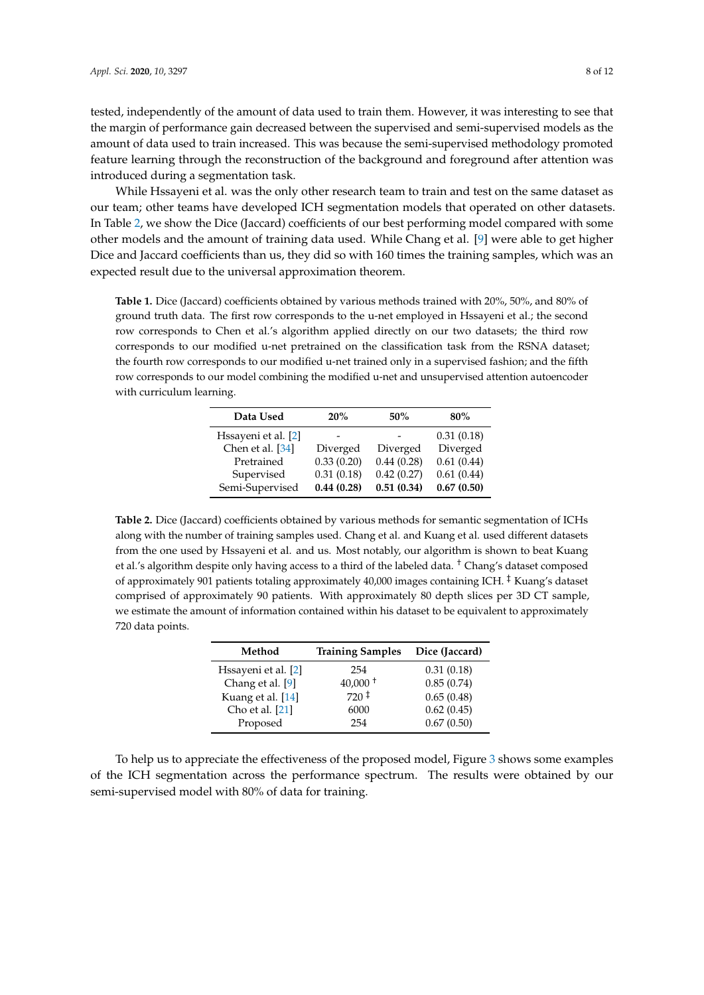tested, independently of the amount of data used to train them. However, it was interesting to see that the margin of performance gain decreased between the supervised and semi-supervised models as the amount of data used to train increased. This was because the semi-supervised methodology promoted feature learning through the reconstruction of the background and foreground after attention was introduced during a segmentation task.

While Hssayeni et al. was the only other research team to train and test on the same dataset as our team; other teams have developed ICH segmentation models that operated on other datasets. In Table [2,](#page-7-1) we show the Dice (Jaccard) coefficients of our best performing model compared with some other models and the amount of training data used. While Chang et al. [\[9\]](#page-9-8) were able to get higher Dice and Jaccard coefficients than us, they did so with 160 times the training samples, which was an expected result due to the universal approximation theorem.

<span id="page-7-0"></span>**Table 1.** Dice (Jaccard) coefficients obtained by various methods trained with 20%, 50%, and 80% of ground truth data. The first row corresponds to the u-net employed in Hssayeni et al.; the second row corresponds to Chen et al.'s algorithm applied directly on our two datasets; the third row corresponds to our modified u-net pretrained on the classification task from the RSNA dataset; the fourth row corresponds to our modified u-net trained only in a supervised fashion; and the fifth row corresponds to our model combining the modified u-net and unsupervised attention autoencoder with curriculum learning.

| Data Used           | 20%        | 50%        | $80\%$     |
|---------------------|------------|------------|------------|
| Hssayeni et al. [2] |            |            | 0.31(0.18) |
| Chen et al. [34]    | Diverged   | Diverged   | Diverged   |
| Pretrained          | 0.33(0.20) | 0.44(0.28) | 0.61(0.44) |
| Supervised          | 0.31(0.18) | 0.42(0.27) | 0.61(0.44) |
| Semi-Supervised     | 0.44(0.28) | 0.51(0.34) | 0.67(0.50) |

<span id="page-7-1"></span>Table 2. Dice (Jaccard) coefficients obtained by various methods for semantic segmentation of ICHs along with the number of training samples used. Chang et al. and Kuang et al. used different datasets from the one used by Hssayeni et al. and us. Most notably, our algorithm is shown to beat Kuang et al.'s algorithm despite only having access to a third of the labeled data. † Chang's dataset composed of approximately 901 patients totaling approximately 40,000 images containing ICH. ‡ Kuang's dataset comprised of approximately 90 patients. With approximately 80 depth slices per 3D CT sample, we estimate the amount of information contained within his dataset to be equivalent to approximately 720 data points.

| Method              | <b>Training Samples</b> | Dice (Jaccard) |
|---------------------|-------------------------|----------------|
| Hssayeni et al. [2] | 254                     | 0.31(0.18)     |
| Chang et al. [9]    | $40,000^+$              | 0.85(0.74)     |
| Kuang et al. [14]   | $720 \pm$               | 0.65(0.48)     |
| Cho et al. [21]     | 6000                    | 0.62(0.45)     |
| Proposed            | 254                     | 0.67(0.50)     |

To help us to appreciate the effectiveness of the proposed model, Figure [3](#page-8-1) shows some examples of the ICH segmentation across the performance spectrum. The results were obtained by our semi-supervised model with 80% of data for training.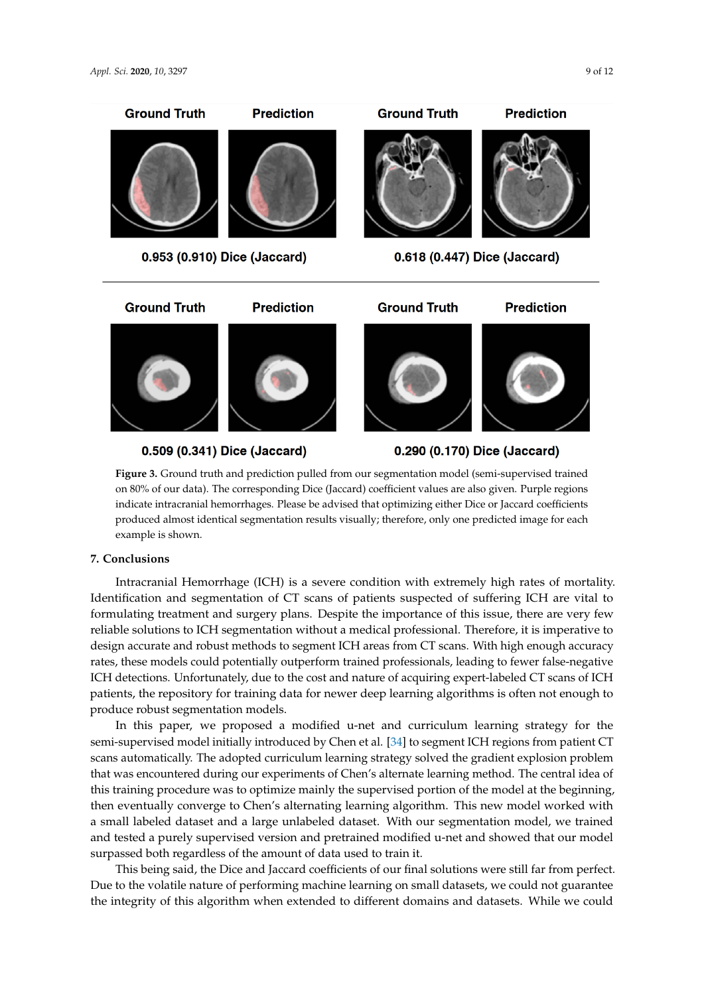<span id="page-8-1"></span>

**Figure 3.** Ground truth and prediction pulled from our segmentation model (semi-supervised trained on 80% of our data). The corresponding Dice (Jaccard) coefficient values are also given. Purple regions indicate intracranial hemorrhages. Please be advised that optimizing either Dice or Jaccard coefficients produced almost identical segmentation results visually; therefore, only one predicted image for each example is shown.

## <span id="page-8-0"></span>**7. Conclusions**

Intracranial Hemorrhage (ICH) is a severe condition with extremely high rates of mortality. Identification and segmentation of CT scans of patients suspected of suffering ICH are vital to formulating treatment and surgery plans. Despite the importance of this issue, there are very few reliable solutions to ICH segmentation without a medical professional. Therefore, it is imperative to design accurate and robust methods to segment ICH areas from CT scans. With high enough accuracy rates, these models could potentially outperform trained professionals, leading to fewer false-negative ICH detections. Unfortunately, due to the cost and nature of acquiring expert-labeled CT scans of ICH patients, the repository for training data for newer deep learning algorithms is often not enough to produce robust segmentation models.

In this paper, we proposed a modified u-net and curriculum learning strategy for the semi-supervised model initially introduced by Chen et al. [\[34\]](#page-11-3) to segment ICH regions from patient CT scans automatically. The adopted curriculum learning strategy solved the gradient explosion problem that was encountered during our experiments of Chen's alternate learning method. The central idea of this training procedure was to optimize mainly the supervised portion of the model at the beginning, then eventually converge to Chen's alternating learning algorithm. This new model worked with a small labeled dataset and a large unlabeled dataset. With our segmentation model, we trained and tested a purely supervised version and pretrained modified u-net and showed that our model surpassed both regardless of the amount of data used to train it.

This being said, the Dice and Jaccard coefficients of our final solutions were still far from perfect. Due to the volatile nature of performing machine learning on small datasets, we could not guarantee the integrity of this algorithm when extended to different domains and datasets. While we could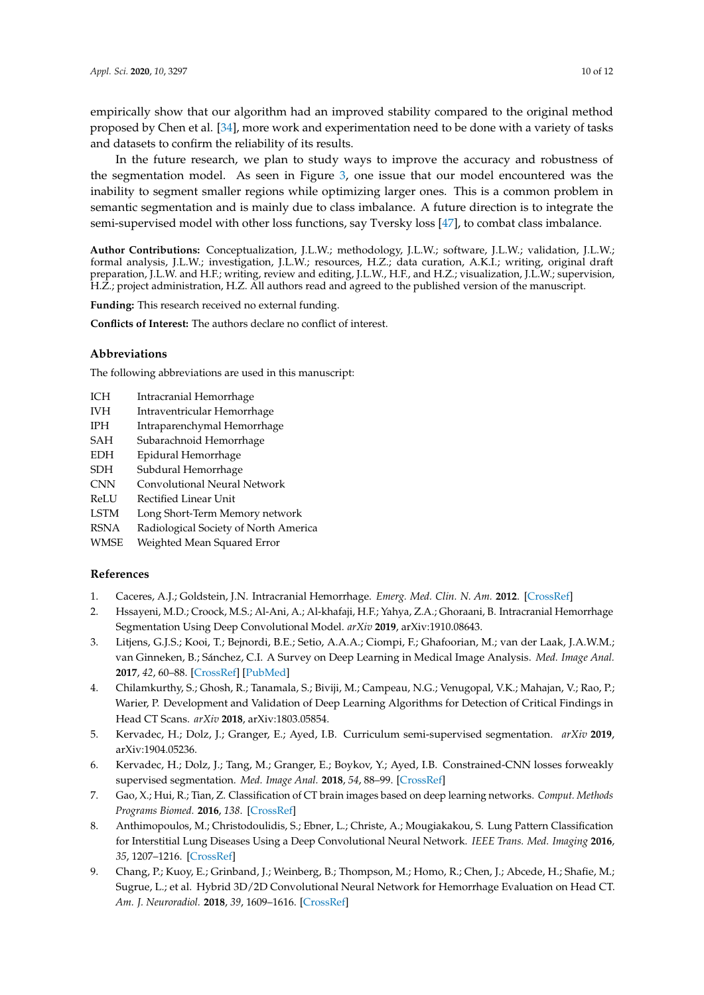empirically show that our algorithm had an improved stability compared to the original method proposed by Chen et al. [\[34\]](#page-11-3), more work and experimentation need to be done with a variety of tasks and datasets to confirm the reliability of its results.

In the future research, we plan to study ways to improve the accuracy and robustness of the segmentation model. As seen in Figure [3,](#page-8-1) one issue that our model encountered was the inability to segment smaller regions while optimizing larger ones. This is a common problem in semantic segmentation and is mainly due to class imbalance. A future direction is to integrate the semi-supervised model with other loss functions, say Tversky loss [\[47\]](#page-11-16), to combat class imbalance.

**Author Contributions:** Conceptualization, J.L.W.; methodology, J.L.W.; software, J.L.W.; validation, J.L.W.; formal analysis, J.L.W.; investigation, J.L.W.; resources, H.Z.; data curation, A.K.I.; writing, original draft preparation, J.L.W. and H.F.; writing, review and editing, J.L.W., H.F., and H.Z.; visualization, J.L.W.; supervision, H.Z.; project administration, H.Z. All authors read and agreed to the published version of the manuscript.

**Funding:** This research received no external funding.

**Conflicts of Interest:** The authors declare no conflict of interest.

## **Abbreviations**

The following abbreviations are used in this manuscript:

- ICH Intracranial Hemorrhage
- IVH Intraventricular Hemorrhage
- IPH Intraparenchymal Hemorrhage
- SAH Subarachnoid Hemorrhage
- EDH Epidural Hemorrhage
- SDH Subdural Hemorrhage
- CNN Convolutional Neural Network
- ReLU Rectified Linear Unit
- LSTM Long Short-Term Memory network
- RSNA Radiological Society of North America
- WMSE Weighted Mean Squared Error

## **References**

- <span id="page-9-0"></span>1. Caceres, A.J.; Goldstein, J.N. Intracranial Hemorrhage. *Emerg. Med. Clin. N. Am.* **2012**. [\[CrossRef\]](http://dx.doi.org/10.1016/j.emc.2012.06.003)
- <span id="page-9-1"></span>2. Hssayeni, M.D.; Croock, M.S.; Al-Ani, A.; Al-khafaji, H.F.; Yahya, Z.A.; Ghoraani, B. Intracranial Hemorrhage Segmentation Using Deep Convolutional Model. *arXiv* **2019**, arXiv:1910.08643.
- <span id="page-9-2"></span>3. Litjens, G.J.S.; Kooi, T.; Bejnordi, B.E.; Setio, A.A.A.; Ciompi, F.; Ghafoorian, M.; van der Laak, J.A.W.M.; van Ginneken, B.; Sánchez, C.I. A Survey on Deep Learning in Medical Image Analysis. *Med. Image Anal.* **2017**, *42*, 60–88. [\[CrossRef\]](http://dx.doi.org/10.1016/j.media.2017.07.005) [\[PubMed\]](http://www.ncbi.nlm.nih.gov/pubmed/28778026)
- <span id="page-9-3"></span>4. Chilamkurthy, S.; Ghosh, R.; Tanamala, S.; Biviji, M.; Campeau, N.G.; Venugopal, V.K.; Mahajan, V.; Rao, P.; Warier, P. Development and Validation of Deep Learning Algorithms for Detection of Critical Findings in Head CT Scans. *arXiv* **2018**, arXiv:1803.05854.
- <span id="page-9-4"></span>5. Kervadec, H.; Dolz, J.; Granger, E.; Ayed, I.B. Curriculum semi-supervised segmentation. *arXiv* **2019**, arXiv:1904.05236.
- <span id="page-9-5"></span>6. Kervadec, H.; Dolz, J.; Tang, M.; Granger, E.; Boykov, Y.; Ayed, I.B. Constrained-CNN losses forweakly supervised segmentation. *Med. Image Anal.* **2018**, *54*, 88–99. [\[CrossRef\]](http://dx.doi.org/10.1016/j.media.2019.02.009)
- <span id="page-9-6"></span>7. Gao, X.; Hui, R.; Tian, Z. Classification of CT brain images based on deep learning networks. *Comput. Methods Programs Biomed.* **2016**, *138*. [\[CrossRef\]](http://dx.doi.org/10.1016/j.cmpb.2016.10.007)
- <span id="page-9-7"></span>8. Anthimopoulos, M.; Christodoulidis, S.; Ebner, L.; Christe, A.; Mougiakakou, S. Lung Pattern Classification for Interstitial Lung Diseases Using a Deep Convolutional Neural Network. *IEEE Trans. Med. Imaging* **2016**, *35*, 1207–1216. [\[CrossRef\]](http://dx.doi.org/10.1109/TMI.2016.2535865)
- <span id="page-9-8"></span>9. Chang, P.; Kuoy, E.; Grinband, J.; Weinberg, B.; Thompson, M.; Homo, R.; Chen, J.; Abcede, H.; Shafie, M.; Sugrue, L.; et al. Hybrid 3D/2D Convolutional Neural Network for Hemorrhage Evaluation on Head CT. *Am. J. Neuroradiol.* **2018**, *39*, 1609–1616. [\[CrossRef\]](http://dx.doi.org/10.3174/ajnr.A5742)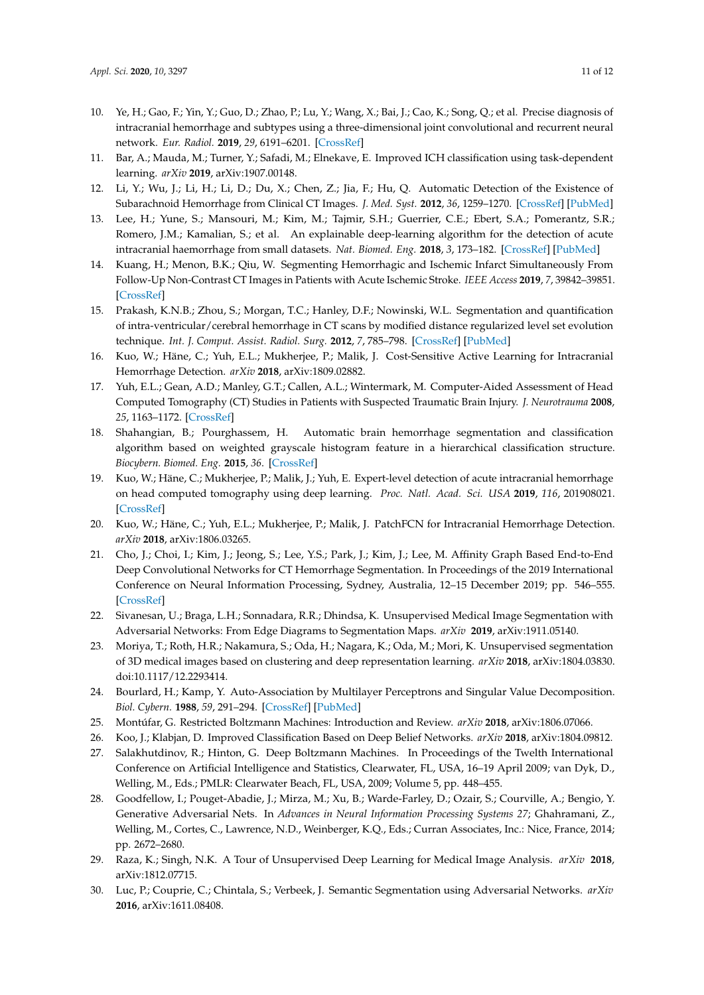- 10. Ye, H.; Gao, F.; Yin, Y.; Guo, D.; Zhao, P.; Lu, Y.; Wang, X.; Bai, J.; Cao, K.; Song, Q.; et al. Precise diagnosis of intracranial hemorrhage and subtypes using a three-dimensional joint convolutional and recurrent neural network. *Eur. Radiol.* **2019**, *29*, 6191–6201. [\[CrossRef\]](http://dx.doi.org/10.1007/s00330-019-06163-2)
- <span id="page-10-0"></span>11. Bar, A.; Mauda, M.; Turner, Y.; Safadi, M.; Elnekave, E. Improved ICH classification using task-dependent learning. *arXiv* **2019**, arXiv:1907.00148.
- <span id="page-10-1"></span>12. Li, Y.; Wu, J.; Li, H.; Li, D.; Du, X.; Chen, Z.; Jia, F.; Hu, Q. Automatic Detection of the Existence of Subarachnoid Hemorrhage from Clinical CT Images. *J. Med. Syst.* **2012**, *36*, 1259–1270. [\[CrossRef\]](http://dx.doi.org/10.1007/s10916-010-9587-8) [\[PubMed\]](http://www.ncbi.nlm.nih.gov/pubmed/20827565)
- 13. Lee, H.; Yune, S.; Mansouri, M.; Kim, M.; Tajmir, S.H.; Guerrier, C.E.; Ebert, S.A.; Pomerantz, S.R.; Romero, J.M.; Kamalian, S.; et al. An explainable deep-learning algorithm for the detection of acute intracranial haemorrhage from small datasets. *Nat. Biomed. Eng.* **2018**, *3*, 173–182. [\[CrossRef\]](http://dx.doi.org/10.1038/s41551-018-0324-9) [\[PubMed\]](http://www.ncbi.nlm.nih.gov/pubmed/30948806)
- <span id="page-10-2"></span>14. Kuang, H.; Menon, B.K.; Qiu, W. Segmenting Hemorrhagic and Ischemic Infarct Simultaneously From Follow-Up Non-Contrast CT Images in Patients with Acute Ischemic Stroke. *IEEE Access* **2019**, *7*, 39842–39851. [\[CrossRef\]](http://dx.doi.org/10.1109/ACCESS.2019.2906605)
- <span id="page-10-3"></span>15. Prakash, K.N.B.; Zhou, S.; Morgan, T.C.; Hanley, D.F.; Nowinski, W.L. Segmentation and quantification of intra-ventricular/cerebral hemorrhage in CT scans by modified distance regularized level set evolution technique. *Int. J. Comput. Assist. Radiol. Surg.* **2012**, *7*, 785–798. [\[CrossRef\]](http://dx.doi.org/10.1007/s11548-012-0670-0) [\[PubMed\]](http://www.ncbi.nlm.nih.gov/pubmed/22293946)
- <span id="page-10-4"></span>16. Kuo, W.; Häne, C.; Yuh, E.L.; Mukherjee, P.; Malik, J. Cost-Sensitive Active Learning for Intracranial Hemorrhage Detection. *arXiv* **2018**, arXiv:1809.02882.
- <span id="page-10-5"></span>17. Yuh, E.L.; Gean, A.D.; Manley, G.T.; Callen, A.L.; Wintermark, M. Computer-Aided Assessment of Head Computed Tomography (CT) Studies in Patients with Suspected Traumatic Brain Injury. *J. Neurotrauma* **2008**, *25*, 1163–1172. [\[CrossRef\]](http://dx.doi.org/10.1089/neu.2008.0590)
- <span id="page-10-6"></span>18. Shahangian, B.; Pourghassem, H. Automatic brain hemorrhage segmentation and classification algorithm based on weighted grayscale histogram feature in a hierarchical classification structure. *Biocybern. Biomed. Eng.* **2015**, *36*. [\[CrossRef\]](http://dx.doi.org/10.1016/j.bbe.2015.12.001)
- <span id="page-10-7"></span>19. Kuo, W.; Häne, C.; Mukherjee, P.; Malik, J.; Yuh, E. Expert-level detection of acute intracranial hemorrhage on head computed tomography using deep learning. *Proc. Natl. Acad. Sci. USA* **2019**, *116*, 201908021. [\[CrossRef\]](http://dx.doi.org/10.1073/pnas.1908021116)
- <span id="page-10-8"></span>20. Kuo, W.; Häne, C.; Yuh, E.L.; Mukherjee, P.; Malik, J. PatchFCN for Intracranial Hemorrhage Detection. *arXiv* **2018**, arXiv:1806.03265.
- <span id="page-10-9"></span>21. Cho, J.; Choi, I.; Kim, J.; Jeong, S.; Lee, Y.S.; Park, J.; Kim, J.; Lee, M. Affinity Graph Based End-to-End Deep Convolutional Networks for CT Hemorrhage Segmentation. In Proceedings of the 2019 International Conference on Neural Information Processing, Sydney, Australia, 12–15 December 2019; pp. 546–555. [\[CrossRef\]](http://dx.doi.org/10.1007/978-3-030-36708-4_45)
- <span id="page-10-10"></span>22. Sivanesan, U.; Braga, L.H.; Sonnadara, R.R.; Dhindsa, K. Unsupervised Medical Image Segmentation with Adversarial Networks: From Edge Diagrams to Segmentation Maps. *arXiv* **2019**, arXiv:1911.05140.
- <span id="page-10-11"></span>23. Moriya, T.; Roth, H.R.; Nakamura, S.; Oda, H.; Nagara, K.; Oda, M.; Mori, K. Unsupervised segmentation of 3D medical images based on clustering and deep representation learning. *arXiv* **2018**, arXiv:1804.03830. doi:10.1117/12.2293414.
- <span id="page-10-12"></span>24. Bourlard, H.; Kamp, Y. Auto-Association by Multilayer Perceptrons and Singular Value Decomposition. *Biol. Cybern.* **1988**, *59*, 291–294. [\[CrossRef\]](http://dx.doi.org/10.1007/BF00332918) [\[PubMed\]](http://www.ncbi.nlm.nih.gov/pubmed/3196773)
- <span id="page-10-13"></span>25. Montúfar, G. Restricted Boltzmann Machines: Introduction and Review. *arXiv* **2018**, arXiv:1806.07066.
- <span id="page-10-15"></span><span id="page-10-14"></span>26. Koo, J.; Klabjan, D. Improved Classification Based on Deep Belief Networks. *arXiv* **2018**, arXiv:1804.09812.
- 27. Salakhutdinov, R.; Hinton, G. Deep Boltzmann Machines. In Proceedings of the Twelth International Conference on Artificial Intelligence and Statistics, Clearwater, FL, USA, 16–19 April 2009; van Dyk, D., Welling, M., Eds.; PMLR: Clearwater Beach, FL, USA, 2009; Volume 5, pp. 448–455.
- <span id="page-10-16"></span>28. Goodfellow, I.; Pouget-Abadie, J.; Mirza, M.; Xu, B.; Warde-Farley, D.; Ozair, S.; Courville, A.; Bengio, Y. Generative Adversarial Nets. In *Advances in Neural Information Processing Systems 27*; Ghahramani, Z., Welling, M., Cortes, C., Lawrence, N.D., Weinberger, K.Q., Eds.; Curran Associates, Inc.: Nice, France, 2014; pp. 2672–2680.
- <span id="page-10-17"></span>29. Raza, K.; Singh, N.K. A Tour of Unsupervised Deep Learning for Medical Image Analysis. *arXiv* **2018**, arXiv:1812.07715.
- <span id="page-10-18"></span>30. Luc, P.; Couprie, C.; Chintala, S.; Verbeek, J. Semantic Segmentation using Adversarial Networks. *arXiv* **2016**, arXiv:1611.08408.